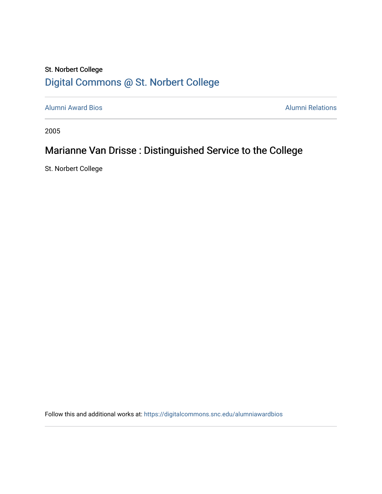## St. Norbert College [Digital Commons @ St. Norbert College](https://digitalcommons.snc.edu/)

[Alumni Award Bios](https://digitalcommons.snc.edu/alumniawardbios) **Alumni Relations** Alumni Relations

2005

## Marianne Van Drisse : Distinguished Service to the College

St. Norbert College

Follow this and additional works at: [https://digitalcommons.snc.edu/alumniawardbios](https://digitalcommons.snc.edu/alumniawardbios?utm_source=digitalcommons.snc.edu%2Falumniawardbios%2F18&utm_medium=PDF&utm_campaign=PDFCoverPages)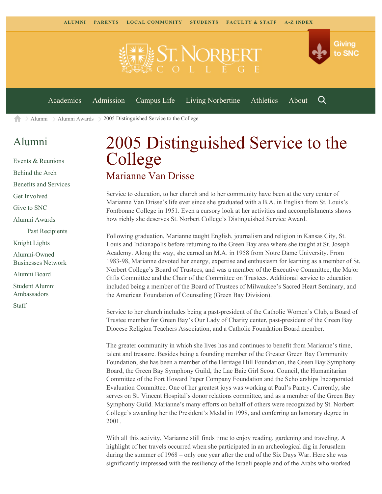

Q

[Academics](https://www.snc.edu/academics) [Admission](https://www.snc.edu/admission) [Campus Life](https://www.snc.edu/campuslife) [Living Norbertine](https://www.snc.edu/livingnorbertine) [Athletics](https://www.snc.edu/athletics) [About](https://www.snc.edu/about)

[Alumni](https://www.snc.edu/alumni/) [Alumni Awards](https://www.snc.edu/alumni/awards/) 2005 Distinguished Service to the College A

## [Alumni](https://www.snc.edu/alumni/index.html)

[Events & Reunions](https://www.snc.edu/alumni/event/index.html) [Behind the Arch](https://www.snc.edu/alumni/event/behindthearch/) [Benefits and Services](https://www.snc.edu/alumni/benefits.html) [Get Involved](https://www.snc.edu/alumni/getinvolved.html) [Give to SNC](http://giving.snc.edu/) [Alumni Awards](https://www.snc.edu/alumni/awards/index.html) [Past Recipients](https://www.snc.edu/alumni/awards/recipients.html) [Knight Lights](https://www.snc.edu/alumni/knightlights/index.html) [Alumni-Owned](https://www.snc.edu/alumni/directory/index.html) [Businesses Network](https://www.snc.edu/alumni/directory/index.html) [Alumni Board](https://www.snc.edu/alumni/alumniboard.html) [Student Alumni](https://www.snc.edu/alumni/saa.html) [Ambassadors](https://www.snc.edu/alumni/saa.html) [Staff](https://www.snc.edu/alumni/contactus.html)

## 2005 Distinguished Service to the College Marianne Van Drisse

Service to education, to her church and to her community have been at the very center of Marianne Van Drisse's life ever since she graduated with a B.A. in English from St. Louis's Fontbonne College in 1951. Even a cursory look at her activities and accomplishments shows how richly she deserves St. Norbert College's Distinguished Service Award.

Following graduation, Marianne taught English, journalism and religion in Kansas City, St. Louis and Indianapolis before returning to the Green Bay area where she taught at St. Joseph Academy. Along the way, she earned an M.A. in 1958 from Notre Dame University. From 1983-98, Marianne devoted her energy, expertise and enthusiasm for learning as a member of St. Norbert College's Board of Trustees, and was a member of the Executive Committee, the Major Gifts Committee and the Chair of the Committee on Trustees. Additional service to education included being a member of the Board of Trustees of Milwaukee's Sacred Heart Seminary, and the American Foundation of Counseling (Green Bay Division).

Service to her church includes being a past-president of the Catholic Women's Club, a Board of Trustee member for Green Bay's Our Lady of Charity center, past-president of the Green Bay Diocese Religion Teachers Association, and a Catholic Foundation Board member.

The greater community in which she lives has and continues to benefit from Marianne's time, talent and treasure. Besides being a founding member of the Greater Green Bay Community Foundation, she has been a member of the Heritage Hill Foundation, the Green Bay Symphony Board, the Green Bay Symphony Guild, the Lac Baie Girl Scout Council, the Humanitarian Committee of the Fort Howard Paper Company Foundation and the Scholarships Incorporated Evaluation Committee. One of her greatest joys was working at Paul's Pantry. Currently, she serves on St. Vincent Hospital's donor relations committee, and as a member of the Green Bay Symphony Guild. Marianne's many efforts on behalf of others were recognized by St. Norbert College's awarding her the President's Medal in 1998, and conferring an honorary degree in 2001.

With all this activity, Marianne still finds time to enjoy reading, gardening and traveling. A highlight of her travels occurred when she participated in an archeological dig in Jerusalem during the summer of 1968 – only one year after the end of the Six Days War. Here she was significantly impressed with the resiliency of the Israeli people and of the Arabs who worked